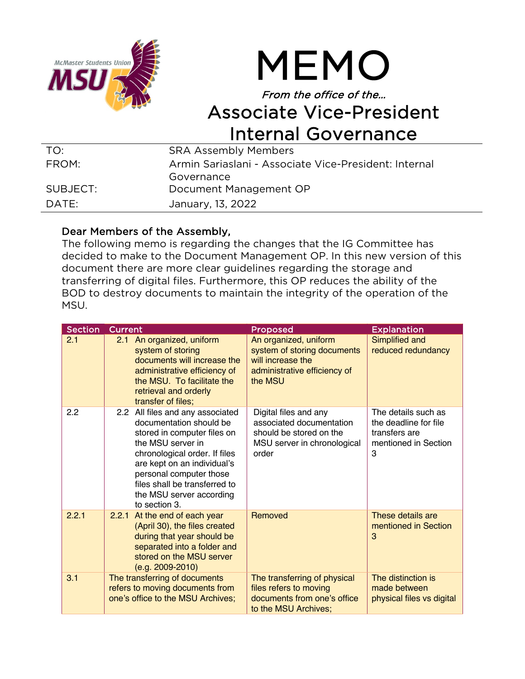



## From the office of the… Associate Vice-President Internal Governance

| TO:      | <b>SRA Assembly Members</b>                           |
|----------|-------------------------------------------------------|
| FROM:    | Armin Sariaslani - Associate Vice-President: Internal |
|          | Governance                                            |
| SUBJECT: | Document Management OP                                |
| DATF:    | January, 13, 2022                                     |

## Dear Members of the Assembly,

The following memo is regarding the changes that the IG Committee has decided to make to the Document Management OP. In this new version of this document there are more clear guidelines regarding the storage and transferring of digital files. Furthermore, this OP reduces the ability of the BOD to destroy documents to maintain the integrity of the operation of the MSU.

| <b>Section</b> | Current                                                                                                                                                                                                                                                                                  | Proposed                                                                                                             | <b>Explanation</b>                                                                         |
|----------------|------------------------------------------------------------------------------------------------------------------------------------------------------------------------------------------------------------------------------------------------------------------------------------------|----------------------------------------------------------------------------------------------------------------------|--------------------------------------------------------------------------------------------|
| 2.1            | An organized, uniform<br>2.1<br>system of storing<br>documents will increase the<br>administrative efficiency of<br>the MSU. To facilitate the<br>retrieval and orderly<br>transfer of files;                                                                                            | An organized, uniform<br>system of storing documents<br>will increase the<br>administrative efficiency of<br>the MSU | Simplified and<br>reduced redundancy                                                       |
| 2.2            | 2.2 All files and any associated<br>documentation should be<br>stored in computer files on<br>the MSU server in<br>chronological order. If files<br>are kept on an individual's<br>personal computer those<br>files shall be transferred to<br>the MSU server according<br>to section 3. | Digital files and any<br>associated documentation<br>should be stored on the<br>MSU server in chronological<br>order | The details such as<br>the deadline for file<br>transfers are<br>mentioned in Section<br>3 |
| 2.2.1          | 2.2.1 At the end of each year<br>(April 30), the files created<br>during that year should be<br>separated into a folder and<br>stored on the MSU server<br>$(e.g. 2009-2010)$                                                                                                            | Removed                                                                                                              | These details are<br>mentioned in Section<br>3                                             |
| 3.1            | The transferring of documents<br>refers to moving documents from<br>one's office to the MSU Archives;                                                                                                                                                                                    | The transferring of physical<br>files refers to moving<br>documents from one's office<br>to the MSU Archives:        | The distinction is<br>made between<br>physical files vs digital                            |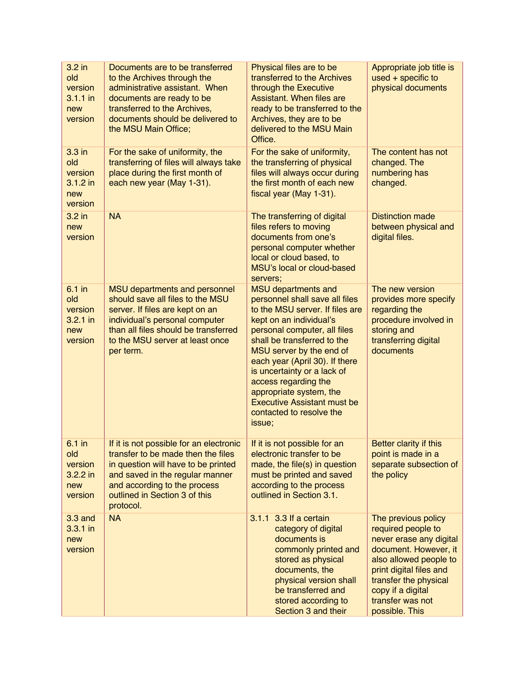| 3.2 in<br>old<br>version<br>3.1.1 in<br>new<br>version     | Documents are to be transferred<br>to the Archives through the<br>administrative assistant. When<br>documents are ready to be<br>transferred to the Archives,<br>documents should be delivered to<br>the MSU Main Office;             | Physical files are to be<br>transferred to the Archives<br>through the Executive<br>Assistant. When files are<br>ready to be transferred to the<br>Archives, they are to be<br>delivered to the MSU Main<br>Office.                                                                                                                                                                                                   | Appropriate job title is<br>$used + specific to$<br>physical documents                                                                                                                                                                 |
|------------------------------------------------------------|---------------------------------------------------------------------------------------------------------------------------------------------------------------------------------------------------------------------------------------|-----------------------------------------------------------------------------------------------------------------------------------------------------------------------------------------------------------------------------------------------------------------------------------------------------------------------------------------------------------------------------------------------------------------------|----------------------------------------------------------------------------------------------------------------------------------------------------------------------------------------------------------------------------------------|
| 3.3 in<br>old<br>version<br>$3.1.2$ in<br>new<br>version   | For the sake of uniformity, the<br>transferring of files will always take<br>place during the first month of<br>each new year (May 1-31).                                                                                             | For the sake of uniformity,<br>the transferring of physical<br>files will always occur during<br>the first month of each new<br>fiscal year (May 1-31).                                                                                                                                                                                                                                                               | The content has not<br>changed. The<br>numbering has<br>changed.                                                                                                                                                                       |
| 3.2 in<br>new<br>version                                   | <b>NA</b>                                                                                                                                                                                                                             | The transferring of digital<br>files refers to moving<br>documents from one's<br>personal computer whether<br>local or cloud based, to<br>MSU's local or cloud-based<br>servers;                                                                                                                                                                                                                                      | <b>Distinction made</b><br>between physical and<br>digital files.                                                                                                                                                                      |
| $6.1$ in<br>old<br>version<br>$3.2.1$ in<br>new<br>version | MSU departments and personnel<br>should save all files to the MSU<br>server. If files are kept on an<br>individual's personal computer<br>than all files should be transferred<br>to the MSU server at least once<br>per term.        | <b>MSU</b> departments and<br>personnel shall save all files<br>to the MSU server. If files are<br>kept on an individual's<br>personal computer, all files<br>shall be transferred to the<br>MSU server by the end of<br>each year (April 30). If there<br>is uncertainty or a lack of<br>access regarding the<br>appropriate system, the<br><b>Executive Assistant must be</b><br>contacted to resolve the<br>issue; | The new version<br>provides more specify<br>regarding the<br>procedure involved in<br>storing and<br>transferring digital<br>documents                                                                                                 |
| $6.1$ in<br>old<br>version<br>$3.2.2$ in<br>new<br>version | If it is not possible for an electronic<br>transfer to be made then the files<br>in question will have to be printed<br>and saved in the regular manner<br>and according to the process<br>outlined in Section 3 of this<br>protocol. | If it is not possible for an<br>electronic transfer to be<br>made, the file(s) in question<br>must be printed and saved<br>according to the process<br>outlined in Section 3.1.                                                                                                                                                                                                                                       | Better clarity if this<br>point is made in a<br>separate subsection of<br>the policy                                                                                                                                                   |
| 3.3 and<br>3.3.1 in<br>new<br>version                      | <b>NA</b>                                                                                                                                                                                                                             | 3.1.1 3.3 If a certain<br>category of digital<br>documents is<br>commonly printed and<br>stored as physical<br>documents, the<br>physical version shall<br>be transferred and<br>stored according to<br>Section 3 and their                                                                                                                                                                                           | The previous policy<br>required people to<br>never erase any digital<br>document. However, it<br>also allowed people to<br>print digital files and<br>transfer the physical<br>copy if a digital<br>transfer was not<br>possible. This |